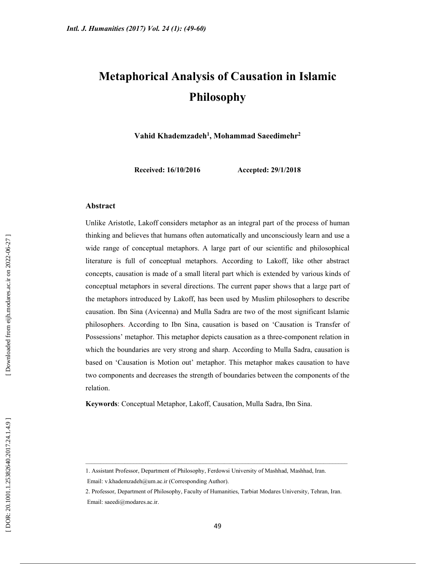# Metaphorical Analysis of Causation in Islamic Philosophy

Vahid Khademzadeh<sup>1</sup>, Mohammad Saeedimehr<sup>2</sup>

Received: 16/10/2016 Accepted: 29/1/2018

#### Abstract

Unlike Aristotle, Lakoff considers metaphor as an integral part of the process of human thinking and believes that humans often automatically and unconsciously learn and use a wide range of conceptual metaphors. A large part of our scientific and philosophical literature is full of conceptual metaphors. According to Lakoff, like other abstract concepts, causation is made of a small literal part which is extended by various kinds of conceptual metaphors in several directions. The current paper shows that a large part of the metaphors introduced by Lakoff, has been used by Muslim philosophers to describe causation. Ibn Sina (Avicenna) and Mulla Sadra are two of the most significant Islamic philosophers. According to Ibn Sina, causation is based on 'Causation is Transfer of Possessions' metaphor. This metaphor depicts causation as a three-component relation in which the boundaries are very strong and sharp. According to Mulla Sadra, causation is based on 'Causation is Motion out' metaphor. This metaphor makes causation to have two components and decreases the strength of boundaries between the components of the relation.

Keywords: Conceptual Metaphor, Lakoff, Causation, Mulla Sadra, Ibn Sina.

<sup>1.</sup> Assistant Professor, Department of Philosophy, Ferdowsi University of Mashhad, Mashhad, Iran.

Email: v.khademzadeh@um.ac.ir (Corresponding Author).

<sup>2.</sup> Professor, Department of Philosophy, Faculty of Humanities, Tarbiat Modares University, Tehran, Iran. Email: saeedi@modares.ac.ir.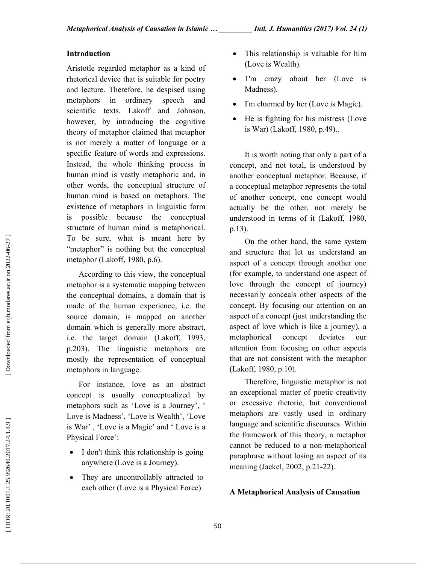# Introduction

Aristotle regarded metaphor as a kind of rhetorical device that is suitable for poetry and lecture. Therefore, he despised using metaphors in ordinary speech and scientific texts. Lakoff and Johnson, however, by introducing the cognitive theory of metaphor claimed that metaphor is not merely a matter of language or a specific feature of words and expressions. Instead, the whole thinking process in human mind is vastly metaphoric and, in other words, the conceptual structure of human mind is based on metaphors. The existence of metaphors in linguistic form is possible because the conceptual structure of human mind is metaphorical. To be sure, what is meant here by "metaphor" is nothing but the conceptual metaphor (Lakoff, 1980, p.6).

According to this view, the conceptual metaphor is a systematic mapping between the conceptual domains, a domain that is made of the human experience, i.e. the source domain, is mapped on another domain which is generally more abstract, i.e. the target domain (Lakoff, 1993, p.203). The linguistic metaphors are mostly the representation of conceptual metaphors in language.

For instance, love as an abstract concept is usually conceptualized by metaphors such as 'Love is a Journey', ' Love is Madness', 'Love is Wealth', 'Love is War' , 'Love is a Magic' and ' Love is a Physical Force':

- I don't think this relationship is going anywhere (Love is a Journey).
- They are uncontrollably attracted to each other (Love is a Physical Force).
- This relationship is valuable for him (Love is Wealth).
- 1'm crazy about her (Love is Madness).
- I'm charmed by her (Love is Magic).
- He is fighting for his mistress (Love is War) (Lakoff, 1980, p.49)..

It is worth noting that only a part of a concept, and not total, is understood by another conceptual metaphor. Because, if a conceptual metaphor represents the total of another concept, one concept would actually be the other, not merely be understood in terms of it (Lakoff, 1980, p.13).

On the other hand, the same system and structure that let us understand an aspect of a concept through another one (for example, to understand one aspect of love through the concept of journey) necessarily conceals other aspects of the concept. By focusing our attention on an aspect of a concept (just understanding the aspect of love which is like a journey), a metaphorical concept deviates our attention from focusing on other aspects that are not consistent with the metaphor (Lakoff, 1980, p.10).

Therefore, linguistic metaphor is not an exceptional matter of poetic creativity or excessive rhetoric, but conventional metaphors are vastly used in ordinary language and scientific discourses. Within the framework of this theory, a metaphor cannot be reduced to a non-metaphorical paraphrase without losing an aspect of its meaning (Jackel, 2002, p.21-22).

# A Metaphorical Analysis of Causation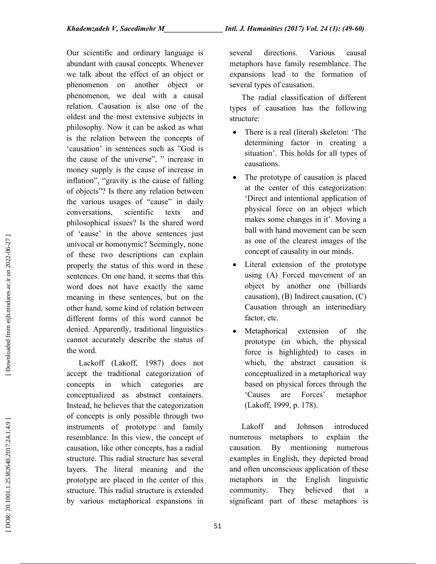Our scientific and ordinary language is abundant with causal concepts. Whenever we talk about the effect of an object or phenomenon on another object or phenomenon, we deal with a causal relation. Causation is also one of the oldest and the most extensive subjects in philosophy. Now it can be asked as what is the relation between the concepts of 'causation' in sentences such as "God is the cause of the universe", " increase in money supply is the cause of increase in inflation", "gravity is the cause of falling of objects"? Is there any relation between the various usages of "cause" in daily conversations, scientific texts and philosophical issues? Is the shared word of 'cause' in the above sentences just univocal or homonymic? Seemingly, none of these two descriptions can explain properly the status of this word in these sentences. On one hand, it seems that this word does not have exactly the same meaning in these sentences, but on the other hand, some kind of relation between different forms of this word cannot be denied. Apparently, traditional linguistics cannot accurately describe the status of the word.

Lackoff (Lakoff, 1987) does not accept the traditional categorization of concepts in which categories are conceptualized as abstract containers. Instead, he believes that the categorization of concepts is only possible through two instruments of prototype and family resemblance. In this view, the concept of causation, like other concepts, has a radial structure. This radial structure has several layers. The literal meaning and the prototype are placed in the center of this structure. This radial structure is extended by various metaphorical expansions in

several directions. Various causal metaphors have family resemblance. The expansions lead to the formation of several types of causation.

The radial classification of different types of causation has the following structure:

- There is a real (literal) skeleton: 'The determining factor in creating a situation'. This holds for all types of causations.
- The prototype of causation is placed at the center of this categorization: 'Direct and intentional application of physical force on an object which makes some changes in it'. Moving a ball with hand movement can be seen as one of the clearest images of the concept of causality in our minds.
- Literal extension of the prototype using (A) Forced movement of an object by another one (billiards causation), (B) Indirect causation, (C) Causation through an intermediary factor, etc.
- Metaphorical extension of the prototype (in which, the physical force is highlighted) to cases in which, the abstract causation is conceptualized in a metaphorical way based on physical forces through the 'Causes are Forces' metaphor (Lakoff, 1999, p. 178).

Lakoff and Johnson introduced numerous metaphors to explain the causation. By mentioning numerous examples in English, they depicted broad and often unconscious application of these metaphors in the English linguistic community. They believed that significant part of these metaphors is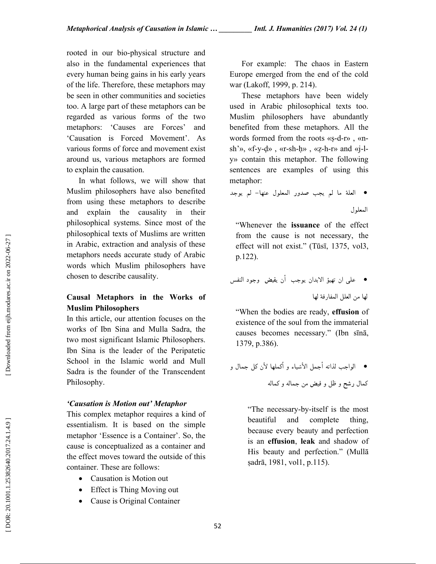rooted in our bio-physical structure and also in the fundamental experiences that every human being gains in his early years of the life. Therefore, these metaphors may be seen in other communities and societies too. A large part of these metaphors can be regarded as various forms of the two metaphors: 'Causes are Forces' and 'Causation is Forced Movement'. As various forms of force and movement exist around us, various metaphors are formed to explain the causation.

In what follows, we will show that Muslim philosophers have also benefited from using these metaphors to describe and explain the causality in their philosophical systems. Since most of the philosophical texts of Muslims are written in Arabic, extraction and analysis of these metaphors needs accurate study of Arabic words which Muslim philosophers have chosen to describe causality.

# Causal Metaphors in the Works of Muslim Philosophers

In this article, our attention focuses on the works of Ibn Sina and Mulla Sadra, the two most significant Islamic Philosophers. Ibn Sina is the leader of the Peripatetic School in the Islamic world and Mull Sadra is the founder of the Transcendent Philosophy.

## 'Causation is Motion out' Metaphor

This complex metaphor requires a kind of essentialism. It is based on the simple metaphor 'Essence is a Container'. So, the cause is conceptualized as a container and the effect moves toward the outside of this container. These are follows:

- Causation is Motion out
- Effect is Thing Moving out
- Cause is Original Container

For example: The chaos in Eastern Europe emerged from the end of the cold war (Lakoff, 1999, p. 214).

These metaphors have been widely used in Arabic philosophical texts too. Muslim philosophers have abundantly benefited from these metaphors. All the words formed from the roots «s-d-r», «nsh'», «f-y-ḍ» , «r-sh-ḥ» , «ẓ-h-r» and «j-ly» contain this metaphor. The following sentences are examples of using this العلة ما لم يجب صدور المعلول عنها- لم يوجد :metaphor

المعلول

"Whenever the issuance of the effect from the cause is not necessary, the effect will not exist." (Tūsī, 1375, vol3,

p.122).<br>• على ان تهيؤ الابدان يوجب أن يفيض وجود النفس • لها قة ر لها من العلل المفا

"When the bodies are ready, effusion of existence of the soul from the immaterial causes becomes necessary." (Ibn sīnā, 1379, p.386).

الواجب لذاته أجمل الأشياء و أكملها لأن كل جمال و له كما و له فيض من جما ظل و كمال رشح و

"The necessary-by-itself is the most beautiful and complete thing, because every beauty and perfection is an effusion, leak and shadow of His beauty and perfection." (Mullā ṣadrā, 1981, vol1, p.115).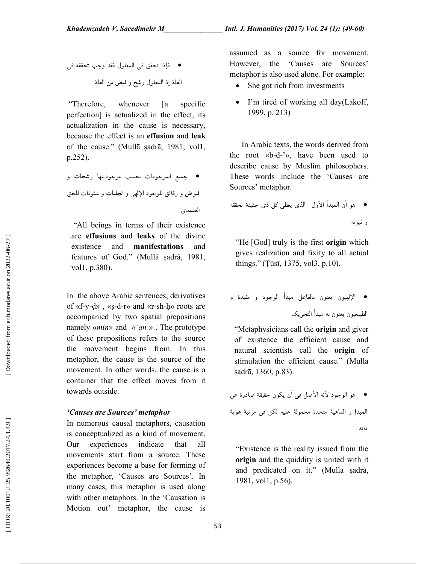جب تحققه في فإذا تحقق في المعلول فقد و فيض من العلة العلة إذ المعلول رشح و

 "Therefore, whenever [a specific perfection] is actualized in the effect, its actualization in the cause is necessary, because the effect is an effusion and leak of the cause." (Mullā ṣadrā, 1981, vol1,

جميع الموجودات بحسب موجوديتها رشحات و .(.252p فيوض و رقائق للوجود الإلهى و تجليات و شئونات للحق الصمدي

 "All beings in terms of their existence are effusions and leaks of the divine existence and manifestations and features of God." (Mullā ṣadrā, 1981, vol1, p.380).

In the above Arabic sentences, derivatives of «f-y-ḍ» , «ṣ-d-r» and «r-sh-ḥ» roots are accompanied by two spatial prepositions namely «min» and «'an » . The prototype of these prepositions refers to the source the movement begins from. In this metaphor, the cause is the source of the movement. In other words, the cause is a container that the effect moves from it towards outside.

# 'Causes are Sources' metaphor

In numerous causal metaphors, causation is conceptualized as a kind of movement. Our experiences indicate that all movements start from a source. These experiences become a base for forming of the metaphor, 'Causes are Sources'. In many cases, this metaphor is used along with other metaphors. In the 'Causation is Motion out' metaphor, the cause is assumed as a source for movement. However, the 'Causes are Sources' metaphor is also used alone. For example:

- She got rich from investments
- I'm tired of working all day(Lakoff, 1999, p. 213)

In Arabic texts, the words derived from the root «b-d-'», have been used to describe cause by Muslim philosophers. These words include the 'Causes are Sources' metaphor.

 ته ثبو و

"He [God] truly is the first **origin** which gives realization and fixity to all actual things." (Ṭūsī, 1375, vol3, p.10).

 مفيدة و بالفاعل مبدأ الوجود و ن الإلهيون يعنو يك الطبيعيون يعنون به مبدأ التحر

"Metaphysicians call the **origin** and giver of existence the efficient cause and natural scientists call the origin of stimulation the efficient cause." (Mullā ṣadrā, 1360, p.83) .

نه الأصل في أن يكون حقيقة صادرة عن هو الوجود لأ ية المبدإ و الماهية متحدة محمولة عليه لكن في مرتبة هو ذاته

"Existence is the reality issued from the origin and the quiddity is united with it and predicated on it." (Mullā ṣadrā, 1981, vol1, p.56).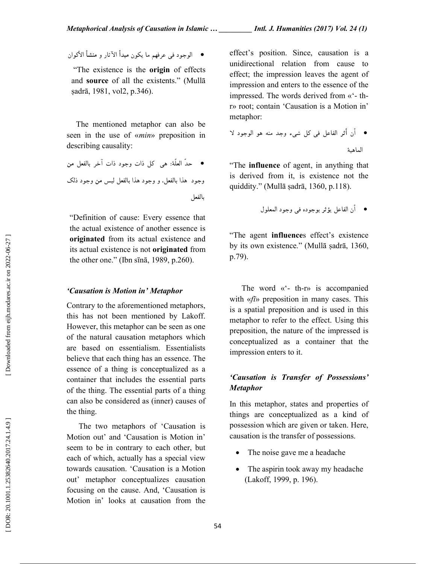● الوجود في عرفهم ما يكون مبدأ الآثار و منشأ الأكوان

 "The existence is the origin of effects and source of all the existents." (Mullā ṣadrā, 1981, vol2, p.346) .

The mentioned metaphor can also be seen in the use of «min» preposition in

describing causality:<br>● حدّ العلّة: هي كل ذات وجود ذات آخر بالفعل من وجود هذا بالفعل، و وجود هذا بالفعل ليس من وجود ذلك<br>بالفعل

"Definition of cause: Every essence that the actual existence of another essence is originated from its actual existence and its actual existence is not originated from the other one." (Ibn sīnā, 1989, p.260).

#### 'Causation is Motion in' Metaphor

Contrary to the aforementioned metaphors, this has not been mentioned by Lakoff. However, this metaphor can be seen as one of the natural causation metaphors which are based on essentialism. Essentialists believe that each thing has an essence. The essence of a thing is conceptualized as a container that includes the essential parts of the thing. The essential parts of a thing can also be considered as (inner) causes of the thing.

The two metaphors of 'Causation is Motion out' and 'Causation is Motion in' seem to be in contrary to each other, but each of which, actually has a special view towards causation. 'Causation is a Motion out' metaphor conceptualizes causation focusing on the cause. And, 'Causation is Motion in' looks at causation from the

effect's position. Since, causation is a unidirectional relation from cause to effect; the impression leaves the agent of impression and enters to the essence of the impressed. The words derived from «'- thr» root; contain 'Causation is a Motion in'

أن أثر الفاعل في كل شيء وجد منه هو الوجود لا :metaphor هية الما

"The influence of agent, in anything that is derived from it, is existence not the quiddity." (Mullā ṣadrā, 1360, p.118).

أن الفاعل يؤثر بوجوده في وجود المعلول 

"The agent influences effect's existence by its own existence." (Mullā ṣadrā, 1360, p.79).

The word «'- th-r» is accompanied with «*fi*» preposition in many cases. This is a spatial preposition and is used in this metaphor to refer to the effect. Using this preposition, the nature of the impressed is conceptualized as a container that the impression enters to it.

# 'Causation is Transfer of Possessions' **Metaphor**

In this metaphor, states and properties of things are conceptualized as a kind of possession which are given or taken. Here, causation is the transfer of possessions.

- The noise gave me a headache
- The aspirin took away my headache (Lakoff, 1999, p. 196).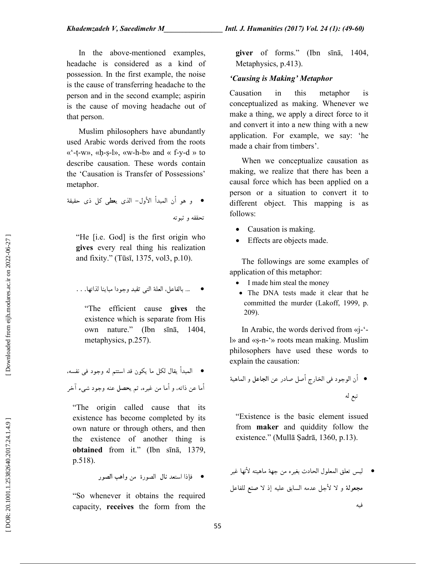In the above-mentioned examples, headache is considered as a kind of possession. In the first example, the noise is the cause of transferring headache to the person and in the second example; aspirin is the cause of moving headache out of that person.

Muslim philosophers have abundantly used Arabic words derived from the roots «'-ṭ-w», «ḥ-ṣ-l», «w-h-b» and « f-y-d » to describe causation. These words contain the 'Causation is Transfer of Possessions'

 يعطي كل ذي حقيقة .metaphor ي هو أن المبدأ الأول- الذ و تحققه و ثبوته

"He [i.e. God] is the first origin who gives every real thing his realization and fixity." (Tūsī, 1375, vol3, p.10).

 ... بالفاعل، العلة التي تفيد وجودا مباينا لذاتها. . . 

"The efficient cause gives the existence which is separate from His own nature." (Ibn sīnā, 1404,

metaphysics, p.257).<br>● المبدأ يقال لكل ما يكون قد استتم له وجود فى نفسه، ● اما عن ذاته، و اما من غيره، ثم يحصل عنه وجود شيء اخر

"The origin called cause that its existence has become completed by its own nature or through others, and then the existence of another thing is obtained from it." (Ibn sīnā, 1379, p.518).

فإذا استعد نال الصورة من واهب الصور

"So whenever it obtains the required capacity, receives the form from the giver of forms." (Ibn sīnā, 1404, Metaphysics, p.413).

# 'Causing is Making' Metaphor

Causation in this metaphor is conceptualized as making. Whenever we make a thing, we apply a direct force to it and convert it into a new thing with a new application. For example, we say: 'he made a chair from timbers'.

When we conceptualize causation as making, we realize that there has been a causal force which has been applied on a person or a situation to convert it to different object. This mapping is as follows:

- Causation is making.
- Effects are objects made.

The followings are some examples of application of this metaphor:

- I made him steal the money
- The DNA tests made it clear that he committed the murder (Lakoff, 1999, p. 209).

In Arabic, the words derived from «j-' l» and «ṣ-n-'» roots mean making. Muslim philosophers have used these words to explain the causation:

 تبع له

"Existence is the basic element issued from maker and quiddity follow the existence." (Mullā Ṣadrā, 1360, p.13).

ه من جهة ماهيته لأنها غير ل الحادث بغير ليس تعلق المعلو عل بق عليه إذ لا صنع للفا جل عدمه السا فيه مجعولة و لا لأ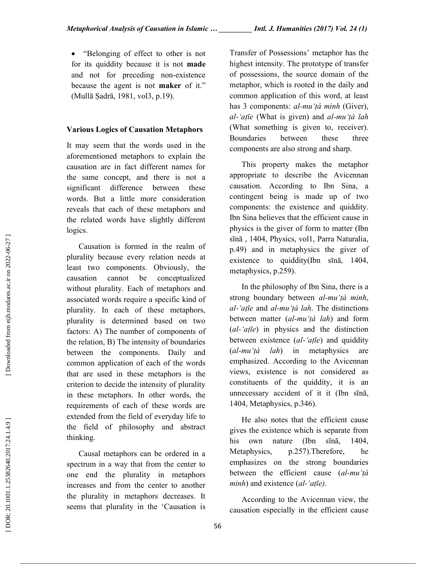• "Belonging of effect to other is not for its quiddity because it is not made and not for preceding non-existence because the agent is not maker of it." (Mullā Ṣadrā, 1981, vol3, p.19).

## Various Logics of Causation Metaphors

It may seem that the words used in the aforementioned metaphors to explain the causation are in fact different names for the same concept, and there is not a significant difference between these words. But a little more consideration reveals that each of these metaphors and the related words have slightly different logics.

Causation is formed in the realm of plurality because every relation needs at least two components. Obviously, the causation cannot be conceptualized without plurality. Each of metaphors and associated words require a specific kind of plurality. In each of these metaphors, plurality is determined based on two factors: A) The number of components of the relation, B) The intensity of boundaries between the components. Daily and common application of each of the words that are used in these metaphors is the criterion to decide the intensity of plurality in these metaphors. In other words, the requirements of each of these words are extended from the field of everyday life to the field of philosophy and abstract thinking.

Causal metaphors can be ordered in a spectrum in a way that from the center to one end the plurality in metaphors increases and from the center to another the plurality in metaphors decreases. It seems that plurality in the 'Causation is Transfer of Possessions' metaphor has the highest intensity. The prototype of transfer of possessions, the source domain of the metaphor, which is rooted in the daily and common application of this word, at least has 3 components: al-mu'tá minh (Giver), al-'aṭīe (What is given) and al-mu'tá lah (What something is given to, receiver). Boundaries between these three components are also strong and sharp.

This property makes the metaphor appropriate to describe the Avicennan causation. According to Ibn Sina, a contingent being is made up of two components: the existence and quiddity. Ibn Sina believes that the efficient cause in physics is the giver of form to matter (Ibn sīnā , 1404, Physics, vol1, Parra Naturalia, p.49) and in metaphysics the giver of existence to quiddity(Ibn sīnā, 1404, metaphysics, p.259).

In the philosophy of Ibn Sina, there is a strong boundary between al-mu'tá minh, al-'atīe and al-mu'tá lah. The distinctions between matter  $(al-mu'tá lah)$  and form  $(al-'afie)$  in physics and the distinction between existence  $(al$ -'aṭīe) and quiddity  $(al$ -mu'tá lah) in metaphysics are emphasized. According to the Avicennan views, existence is not considered as constituents of the quiddity, it is an unnecessary accident of it it (Ibn sīnā, 1404, Metaphysics, p.346).

He also notes that the efficient cause gives the existence which is separate from his own nature (Ibn sīnā, 1404, Metaphysics, p.257).Therefore, he emphasizes on the strong boundaries between the efficient cause (al-mu'tá  $minh$ ) and existence (al-'aṭīe).

According to the Avicennan view, the causation especially in the efficient cause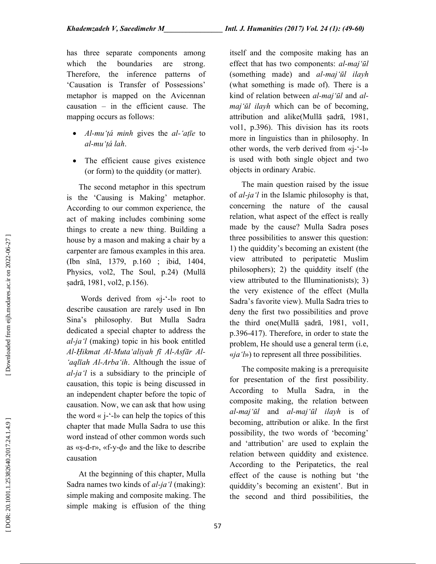has three separate components among which the boundaries are strong. Therefore, the inference patterns of 'Causation is Transfer of Possessions' metaphor is mapped on the Avicennan causation – in the efficient cause. The mapping occurs as follows:

- $Al-mu'$ *tá minh* gives the  $al$ -'at<del>i</del>e to al-mu'ṭá lah.
- The efficient cause gives existence (or form) to the quiddity (or matter).

The second metaphor in this spectrum is the 'Causing is Making' metaphor. According to our common experience, the act of making includes combining some things to create a new thing. Building a house by a mason and making a chair by a carpenter are famous examples in this area. (Ibn sīnā, 1379, p.160 ; ibid, 1404, Physics, vol2, The Soul, p.24) (Mullā ṣadrā, 1981, vol2, p.156).

Words derived from «*j*-'-l» root to describe causation are rarely used in Ibn Sina's philosophy. But Mulla Sadra dedicated a special chapter to address the al-ja'l (making) topic in his book entitled Al-Ḥikmat Al-Muta'aliyah fī Al-Asfār Al- 'aqlīah Al-Arba'ih. Although the issue of  $al$ -*ja'l* is a subsidiary to the principle of causation, this topic is being discussed in an independent chapter before the topic of causation. Now, we can ask that how using the word  $\langle$  i-'-l $\rangle$  can help the topics of this chapter that made Mulla Sadra to use this word instead of other common words such as «ṣ-d-r», «f-y-ḍ» and the like to describe causation

At the beginning of this chapter, Mulla Sadra names two kinds of *al-ja'l* (making): simple making and composite making. The simple making is effusion of the thing itself and the composite making has an effect that has two components: al-maj'ūl (something made) and al-maj'ūl ilayh (what something is made of). There is a kind of relation between *al-maj'ūl* and *al*maj'ūl ilayh which can be of becoming, attribution and alike(Mullā ṣadrā, 1981, vol1, p.396). This division has its roots more in linguistics than in philosophy. In other words, the verb derived from «j-'-l» is used with both single object and two objects in ordinary Arabic.

The main question raised by the issue of  $al$ -ja'l in the Islamic philosophy is that, concerning the nature of the causal relation, what aspect of the effect is really made by the cause? Mulla Sadra poses three possibilities to answer this question: 1) the quiddity's becoming an existent (the view attributed to peripatetic Muslim philosophers); 2) the quiddity itself (the view attributed to the Illuminationists); 3) the very existence of the effect (Mulla Sadra's favorite view). Mulla Sadra tries to deny the first two possibilities and prove the third one(Mullā ṣadrā, 1981, vol1, p.396-417). Therefore, in order to state the problem, He should use a general term (i.e,  $\langle i, a'|j \rangle$ ) to represent all three possibilities.

The composite making is a prerequisite for presentation of the first possibility. According to Mulla Sadra, in the composite making, the relation between al-maj'ūl and al-maj'ūl ilayh is of becoming, attribution or alike. In the first possibility, the two words of 'becoming' and 'attribution' are used to explain the relation between quiddity and existence. According to the Peripatetics, the real effect of the cause is nothing but 'the quiddity's becoming an existent'. But in the second and third possibilities, the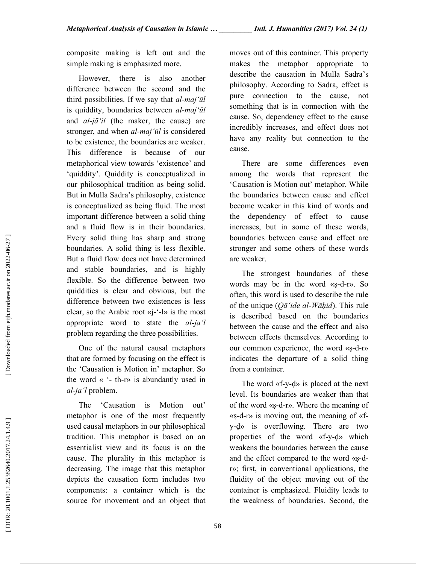composite making is left out and the simple making is emphasized more.

However, there is also another difference between the second and the third possibilities. If we say that  $al$ -maj'ūl is quiddity, boundaries between al-maj'ūl and  $al$ -j $\bar{a}'$ il (the maker, the cause) are stronger, and when *al-maj'ūl* is considered to be existence, the boundaries are weaker. This difference is because of our metaphorical view towards 'existence' and 'quiddity'. Quiddity is conceptualized in our philosophical tradition as being solid. But in Mulla Sadra's philosophy, existence is conceptualized as being fluid. The most important difference between a solid thing and a fluid flow is in their boundaries. Every solid thing has sharp and strong boundaries. A solid thing is less flexible. But a fluid flow does not have determined and stable boundaries, and is highly flexible. So the difference between two quiddities is clear and obvious, but the difference between two existences is less clear, so the Arabic root «j-'-l» is the most appropriate word to state the al-ja'l problem regarding the three possibilities.

One of the natural causal metaphors that are formed by focusing on the effect is the 'Causation is Motion in' metaphor. So the word « '- th-r» is abundantly used in al-ja'l problem.

The 'Causation is Motion out' metaphor is one of the most frequently used causal metaphors in our philosophical tradition. This metaphor is based on an essentialist view and its focus is on the cause. The plurality in this metaphor is decreasing. The image that this metaphor depicts the causation form includes two components: a container which is the source for movement and an object that moves out of this container. This property makes the metaphor appropriate to describe the causation in Mulla Sadra's philosophy. According to Sadra, effect is pure connection to the cause, not something that is in connection with the cause. So, dependency effect to the cause incredibly increases, and effect does not have any reality but connection to the cause.

There are some differences even among the words that represent the 'Causation is Motion out' metaphor. While the boundaries between cause and effect become weaker in this kind of words and the dependency of effect to cause increases, but in some of these words, boundaries between cause and effect are stronger and some others of these words are weaker.

The strongest boundaries of these words may be in the word «ṣ-d-r». So often, this word is used to describe the rule of the unique  $(Q\bar{a}'$ ide al-Wāḥid). This rule is described based on the boundaries between the cause and the effect and also between effects themselves. According to our common experience, the word «ṣ-d-r» indicates the departure of a solid thing from a container.

The word «f-y-ḍ» is placed at the next level. Its boundaries are weaker than that of the word «ṣ-d-r». Where the meaning of  $\langle$ s-d-r $\rangle$  is moving out, the meaning of  $\langle$ fy-ḍ» is overflowing. There are two properties of the word «f-y-ḍ» which weakens the boundaries between the cause and the effect compared to the word «ṣ-dr»; first, in conventional applications, the fluidity of the object moving out of the container is emphasized. Fluidity leads to the weakness of boundaries. Second, the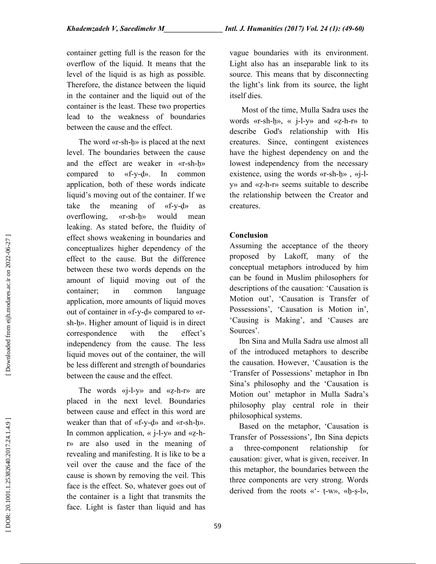container getting full is the reason for the overflow of the liquid. It means that the level of the liquid is as high as possible. Therefore, the distance between the liquid in the container and the liquid out of the container is the least. These two properties lead to the weakness of boundaries between the cause and the effect.

The word «r-sh-h» is placed at the next level. The boundaries between the cause and the effect are weaker in «r-sh-ḥ» compared to «f-y-ḍ». In common application, both of these words indicate liquid's moving out of the container. If we take the meaning of «f-y-ḍ» as overflowing, «r-sh-ḥ» would mean leaking. As stated before, the fluidity of effect shows weakening in boundaries and conceptualizes higher dependency of the effect to the cause. But the difference between these two words depends on the amount of liquid moving out of the container; in common language application, more amounts of liquid moves out of container in «f-y-ḍ» compared to «rsh-ḥ». Higher amount of liquid is in direct correspondence with the effect's independency from the cause. The less liquid moves out of the container, the will be less different and strength of boundaries between the cause and the effect.

The words «j-l-y» and «ẓ-h-r» are placed in the next level. Boundaries between cause and effect in this word are weaker than that of «f-y-ḍ» and «r-sh-ḥ». In common application, « j-l-y» and «ẓ-hr» are also used in the meaning of revealing and manifesting. It is like to be a veil over the cause and the face of the cause is shown by removing the veil. This face is the effect. So, whatever goes out of the container is a light that transmits the face. Light is faster than liquid and has vague boundaries with its environment. Light also has an inseparable link to its source. This means that by disconnecting the light's link from its source, the light itself dies.

Most of the time, Mulla Sadra uses the words «r-sh-ḥ», « j-l-y» and «ẓ-h-r» to describe God's relationship with His creatures. Since, contingent existences have the highest dependency on and the lowest independency from the necessary existence, using the words «r-sh-ḥ» , «j-ly» and «ẓ-h-r» seems suitable to describe the relationship between the Creator and creatures.

# Conclusion

Assuming the acceptance of the theory proposed by Lakoff, many of the conceptual metaphors introduced by him can be found in Muslim philosophers for descriptions of the causation: 'Causation is Motion out', 'Causation is Transfer of Possessions', 'Causation is Motion in', 'Causing is Making', and 'Causes are Sources'.

Ibn Sina and Mulla Sadra use almost all of the introduced metaphors to describe the causation. However, 'Causation is the 'Transfer of Possessions' metaphor in Ibn Sina's philosophy and the 'Causation is Motion out' metaphor in Mulla Sadra's philosophy play central role in their philosophical systems.

Based on the metaphor, 'Causation is Transfer of Possessions', Ibn Sina depicts a three-component relationship for causation: giver, what is given, receiver. In this metaphor, the boundaries between the three components are very strong. Words derived from the roots «'- ṭ-w», «ḥ-ṣ-l»,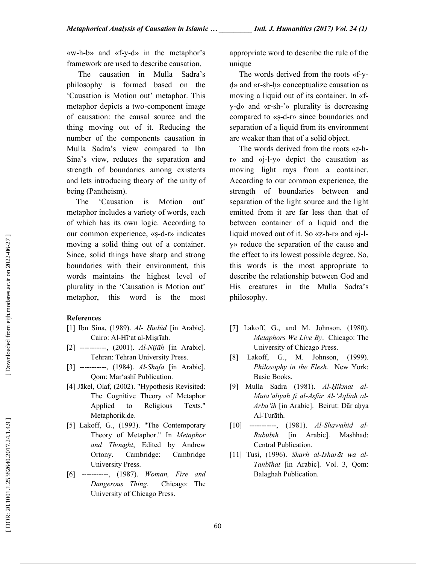«w-h-b» and «f-y-d» in the metaphor's framework are used to describe causation.

 The causation in Mulla Sadra's philosophy is formed based on the 'Causation is Motion out' metaphor. This metaphor depicts a two-component image of causation: the causal source and the thing moving out of it. Reducing the number of the components causation in Mulla Sadra's view compared to Ibn Sina's view, reduces the separation and strength of boundaries among existents and lets introducing theory of the unity of being (Pantheism).

The 'Causation is Motion out' metaphor includes a variety of words, each of which has its own logic. According to our common experience, «ṣ-d-r» indicates moving a solid thing out of a container. Since, solid things have sharp and strong boundaries with their environment, this words maintains the highest level of plurality in the 'Causation is Motion out' metaphor, this word is the most

# References

- [1] Ibn Sina, (1989). Al- Hudūd [in Arabic]. Cairo: Al-Hī'at al-Miṣrīah.
- [2] ----------, (2001). Al-Nijāh [in Arabic]. Tehran: Tehran University Press.
- [3] ----------, (1984). Al-Shafā [in Arabic]. Qom: Mar'ashī Publication.
- [4] Jäkel, Olaf, (2002). "Hypothesis Revisited: The Cognitive Theory of Metaphor Applied to Religious Texts." Metaphorik.de.
- [5] Lakoff, G., (1993). "The Contemporary Theory of Metaphor." In Metaphor and Thought, Edited by Andrew Ortony. Cambridge: Cambridge University Press.
- [6] -----------, (1987). Woman, Fire and Dangerous Thing. Chicago: The University of Chicago Press.

appropriate word to describe the rule of the unique

The words derived from the roots «f-yḍ» and «r-sh-ḥ» conceptualize causation as moving a liquid out of its container. In «fy-ḍ» and «r-sh-'» plurality is decreasing compared to «ṣ-d-r» since boundaries and separation of a liquid from its environment are weaker than that of a solid object.

The words derived from the roots «ẓ-hr» and «j-l-y» depict the causation as moving light rays from a container. According to our common experience, the strength of boundaries between and separation of the light source and the light emitted from it are far less than that of between container of a liquid and the liquid moved out of it. So «ẓ-h-r» and «j-ly» reduce the separation of the cause and the effect to its lowest possible degree. So, this words is the most appropriate to describe the relationship between God and His creatures in the Mulla Sadra's philosophy.

- [7] Lakoff, G., and M. Johnson, (1980). Metaphors We Live By. Chicago: The University of Chicago Press.
- [8] Lakoff, G., M. Johnson, (1999). Philosophy in the Flesh. New York: Basic Books.
- [9] Mulla Sadra (1981). Al-Ḥikmat al-Muta'aliyah fī al-Asfār Al-'Aqlīah al-Arba'ih [in Arabic]. Beirut: Dār aḥya Al-Turāth.
- [10] -----------, (1981). Al-Shawahid al-Rubūbīh [in Arabic]. Mashhad: Central Publication.
- [11] Tusi, (1996). Sharh al-Isharāt wa al-Tanbīhat [in Arabic]. Vol. 3, Qom: Balaghah Publication.